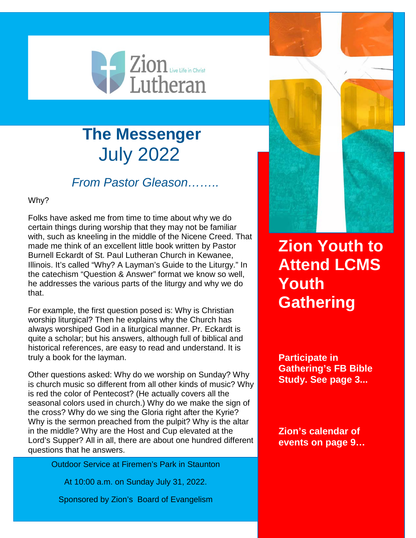

## **The Messenger** July 2022

#### *From Pastor Gleason……..*

Why?

Folks have asked me from time to time about why we do certain things during worship that they may not be familiar with, such as kneeling in the middle of the Nicene Creed. That made me think of an excellent little book written by Pastor Burnell Eckardt of St. Paul Lutheran Church in Kewanee, Illinois. It's called "Why? A Layman's Guide to the Liturgy." In the catechism "Question & Answer" format we know so well, he addresses the various parts of the liturgy and why we do that.

For example, the first question posed is: Why is Christian worship liturgical? Then he explains why the Church has always worshiped God in a liturgical manner. Pr. Eckardt is quite a scholar; but his answers, although full of biblical and historical references, are easy to read and understand. It is truly a book for the layman.

Other questions asked: Why do we worship on Sunday? Why is church music so different from all other kinds of music? Why is red the color of Pentecost? (He actually covers all the seasonal colors used in church.) Why do we make the sign of the cross? Why do we sing the Gloria right after the Kyrie? Why is the sermon preached from the pulpit? Why is the altar in the middle? Why are the Host and Cup elevated at the Lord's Supper? All in all, there are about one hundred different questions that he answers.

Outdoor Service at Firemen's Park in Staunton

At 10:00 a.m. on Sunday July 31, 2022.

Sponsored by Zion's Board of Evangelism

**Zion Youth to Attend LCMS Youth Gathering**

**Participate in Gathering's FB Bible Study. See page 3...**

**Zion's calendar of events on page 9…**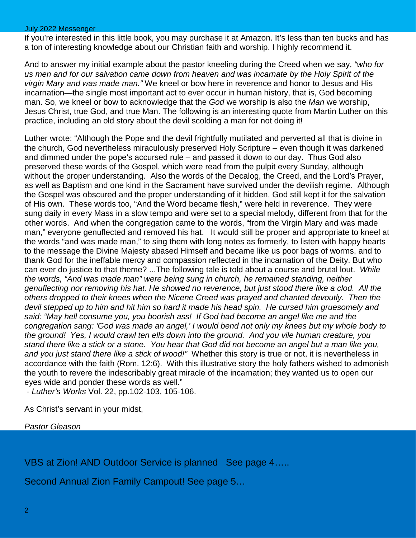#### July 2022 Messenger

If you're interested in this little book, you may purchase it at Amazon. It's less than ten bucks and has a ton of interesting knowledge about our Christian faith and worship. I highly recommend it.

And to answer my initial example about the pastor kneeling during the Creed when we say, *"who for us men and for our salvation came down from heaven and was incarnate by the Holy Spirit of the virgin Mary and was made man."* We kneel or bow here in reverence and honor to Jesus and His incarnation—the single most important act to ever occur in human history, that is, God becoming man. So, we kneel or bow to acknowledge that the *God* we worship is also the *Man* we worship, Jesus Christ, true God, and true Man. The following is an interesting quote from Martin Luther on this practice, including an old story about the devil scolding a man for not doing it!

Luther wrote: "Although the Pope and the devil frightfully mutilated and perverted all that is divine in the church, God nevertheless miraculously preserved Holy Scripture – even though it was darkened and dimmed under the pope's accursed rule – and passed it down to our day. Thus God also preserved these words of the Gospel, which were read from the pulpit every Sunday, although without the proper understanding. Also the words of the Decalog, the Creed, and the Lord's Prayer, as well as Baptism and one kind in the Sacrament have survived under the devilish regime. Although the Gospel was obscured and the proper understanding of it hidden, God still kept it for the salvation of His own. These words too, "And the Word became flesh," were held in reverence. They were sung daily in every Mass in a slow tempo and were set to a special melody, different from that for the other words. And when the congregation came to the words, "from the Virgin Mary and was made man," everyone genuflected and removed his hat. It would still be proper and appropriate to kneel at the words "and was made man," to sing them with long notes as formerly, to listen with happy hearts to the message the Divine Majesty abased Himself and became like us poor bags of worms, and to thank God for the ineffable mercy and compassion reflected in the incarnation of the Deity. But who can ever do justice to that theme? ...The following tale is told about a course and brutal lout. *While the words, "And was made man" were being sung in church, he remained standing, neither genuflecting nor removing his hat. He showed no reverence, but just stood there like a clod. All the others dropped to their knees when the Nicene Creed was prayed and chanted devoutly. Then the devil stepped up to him and hit him so hard it made his head spin. He cursed him gruesomely and said: "May hell consume you, you boorish ass! If God had become an angel like me and the congregation sang: 'God was made an angel,' I would bend not only my knees but my whole body to the ground! Yes, I would crawl ten ells down into the ground. And you vile human creature, you stand there like a stick or a stone. You hear that God did not become an angel but a man like you, and you just stand there like a stick of wood!"* Whether this story is true or not, it is nevertheless in accordance with the faith (Rom. 12:6). With this illustrative story the holy fathers wished to admonish the youth to revere the indescribably great miracle of the incarnation; they wanted us to open our eyes wide and ponder these words as well."

- *Luther's Works* Vol. 22, pp.102-103, 105-106.

As Christ's servant in your midst,

*Pastor Gleason*

VBS at Zion! AND Outdoor Service is planned See page 4…..

Second Annual Zion Family Campout! See page 5…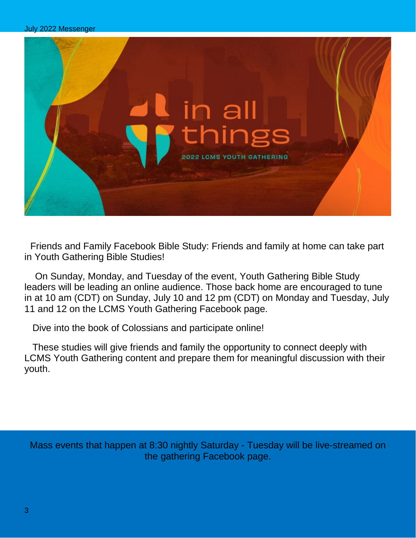

 Friends and Family Facebook Bible Study: Friends and family at home can take part in Youth Gathering Bible Studies!

 On Sunday, Monday, and Tuesday of the event, Youth Gathering Bible Study leaders will be leading an online audience. Those back home are encouraged to tune in at 10 am (CDT) on Sunday, July 10 and 12 pm (CDT) on Monday and Tuesday, July 11 and 12 on the LCMS Youth Gathering Facebook page.

Dive into the book of Colossians and participate online!

 These studies will give friends and family the opportunity to connect deeply with LCMS Youth Gathering content and prepare them for meaningful discussion with their youth.

Mass events that happen at 8:30 nightly Saturday - Tuesday will be live-streamed on the gathering Facebook page.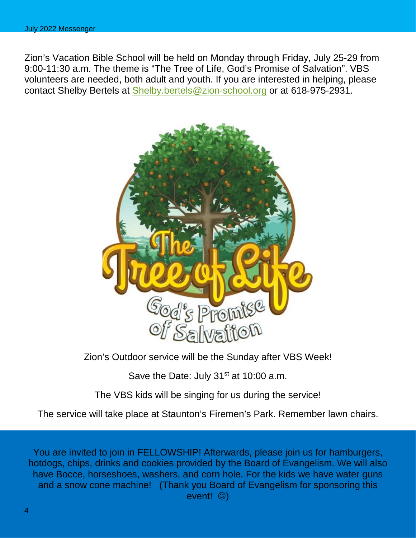Zion's Vacation Bible School will be held on Monday through Friday, July 25-29 from 9:00-11:30 a.m. The theme is "The Tree of Life, God's Promise of Salvation". VBS volunteers are needed, both adult and youth. If you are interested in helping, please contact Shelby Bertels at [Shelby.bertels@zion-school.org](mailto:Shelby.bertels@zion-school.org) or at 618-975-2931.



Zion's Outdoor service will be the Sunday after VBS Week!

Save the Date: July  $31<sup>st</sup>$  at 10:00 a.m.

The VBS kids will be singing for us during the service!

The service will take place at Staunton's Firemen's Park. Remember lawn chairs.

You are invited to join in FELLOWSHIP! Afterwards, please join us for hamburgers, hotdogs, chips, drinks and cookies provided by the Board of Evangelism. We will also have Bocce, horseshoes, washers, and corn hole. For the kids we have water guns and a snow cone machine! (Thank you Board of Evangelism for sponsoring this event!  $\circledcirc$ )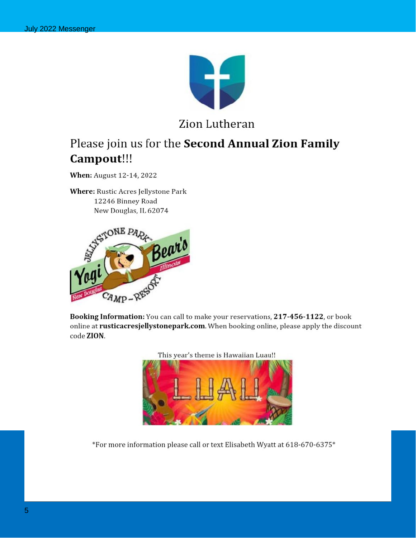

## Please join us for the Second Annual Zion Family Campout!!!

When: August 12-14, 2022

Where: Rustic Acres Jellystone Park 12246 Binney Road New Douglas, IL 62074



Booking Information: You can call to make your reservations, 217-456-1122, or book online at rusticacresjellystonepark.com. When booking online, please apply the discount code ZION.



This year's theme is Hawaiian Luau!!

\*For more information please call or text Elisabeth Wyatt at 618-670-6375\*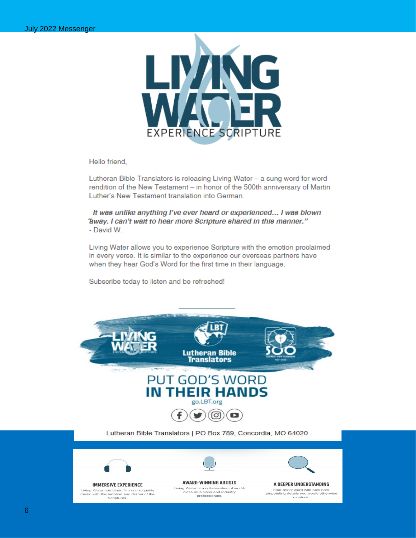

Hello friend.

Lutheran Bible Translators is releasing Living Water - a sung word for word rendition of the New Testament - in honor of the 500th anniversary of Martin Luther's New Testament translation into German.

It was unlike anything I've ever heard or experienced... I was blown "away. I can't wait to hear more Scripture shared in this manner." - David W

Living Water allows you to experience Scripture with the emotion proclaimed in every verse. It is similar to the experience our overseas partners have when they hear God's Word for the first time in their language.

Subscribe today to listen and be refreshed!

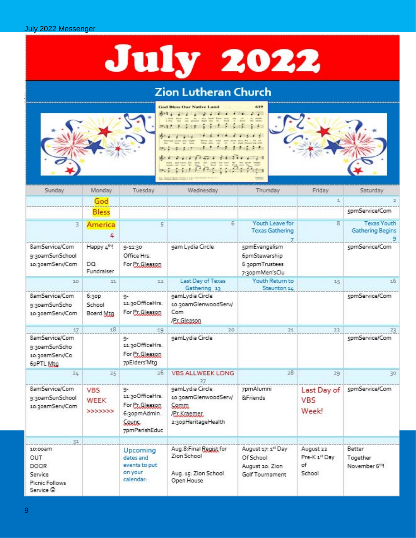# **July 2022**



### **Zion Lutheran Church**

619

**God Bless Our Native Land** 





| Sunday                                                                      | Monday                                       | Tuesday                                                                              | Wednesday                                                                               | Thursday                                                              | Friday                                     | Saturday                               |
|-----------------------------------------------------------------------------|----------------------------------------------|--------------------------------------------------------------------------------------|-----------------------------------------------------------------------------------------|-----------------------------------------------------------------------|--------------------------------------------|----------------------------------------|
|                                                                             | God                                          |                                                                                      |                                                                                         |                                                                       | $\mathbf{1}$                               |                                        |
|                                                                             | Bless                                        |                                                                                      |                                                                                         |                                                                       |                                            | spmService/Com                         |
| 3                                                                           | America<br>4                                 | 5                                                                                    | 6                                                                                       | Youth Leave for<br><b>Texas Gathering</b>                             | g                                          | <b>Texas Youth</b><br>Gathering Begins |
| 8amService/Com<br>9:30amSunSchool<br>10:30amServ/Com                        | Happy 4 <sup>th</sup> !<br>DO.<br>Fundraiser | $9 - 11:30$<br>Office Hrs<br>For Pr. Gleason                                         | gam Lydia Circle                                                                        | spmEvangelism<br>6pmStewarship<br>6:30pmTrustees<br>7:30pmMen'sClu    |                                            | spmService/Com                         |
| 10                                                                          | 31                                           | 12                                                                                   | Last Day of Texas<br>Gathering 13                                                       | Youth Return to<br>Staunton <sub>14</sub>                             | 15                                         | 16                                     |
| 8amService/Com<br>9:30amSunScho<br>10:30amServ/Com                          | 6:30p<br>School<br>Board Mtg                 | ٩٠<br>11:30OfficeHrs.<br>For Pr. Gleason                                             | gamLydia Circle<br>10:30amGlenwoodServ/<br>Com<br>/P.r. Gleason                         |                                                                       |                                            | 5pmService/Com                         |
| 17                                                                          | 18                                           | 19                                                                                   | 20                                                                                      | 21                                                                    | 22                                         | 23                                     |
| 8amService/Com<br>9:30amSunScho<br>10:30amServ/Co<br><b>6pPTL Mtg</b>       |                                              | 9-<br>11:30OfficeHrs.<br>For Pr. Gleason<br>7pElders'Mtg                             | gamLydia Circle                                                                         |                                                                       |                                            | spmService/Com                         |
| 24                                                                          | 25                                           | 26                                                                                   | <b>VBS ALLWEEK LONG</b><br>27                                                           | 28                                                                    | 29                                         | 30                                     |
| 8amService/Com<br>9:30amSunSchool<br>10:30amServ/Com                        | <b>VBS</b><br>WEEK<br>>>>>>>>                | 9-<br>11:30 OfficeHrs.<br>For Pr. Gleason<br>6:3opmAdmin.<br>Counc.<br>7pmParishEduc | gamLydia Circle<br>10:30amGlenwoodServ/<br>Corom.<br>/Pr.Kraemer<br>2:3opHeritageHealth | 7pmAlumni<br>&Friends                                                 | Last Day of<br><b>VBS</b><br>Week!         | spmService/Com                         |
| 31                                                                          |                                              |                                                                                      |                                                                                         |                                                                       |                                            |                                        |
| 10:00am<br>OUT<br>DOOR<br>Service<br>Picnic Follows<br>Service <sup>@</sup> |                                              | Upcoming<br>dates and<br>events to put<br>on your<br>calendar:                       | Aug.8: Final Regist for<br>Zion School<br>Aug. 15: Zion School<br>Open House            | August 17: 1st Day<br>Of School<br>August 20: Zion<br>Golf Tournament | August 22<br>Pre-K 1st Day<br>of<br>School | Better<br>Together<br>November 6th!    |